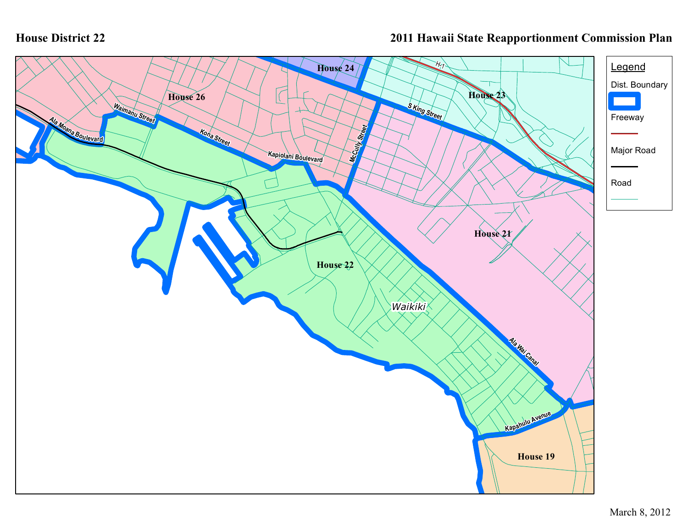## **House District 22**

## **2011 Hawaii State Reapportionment Commission Plan**